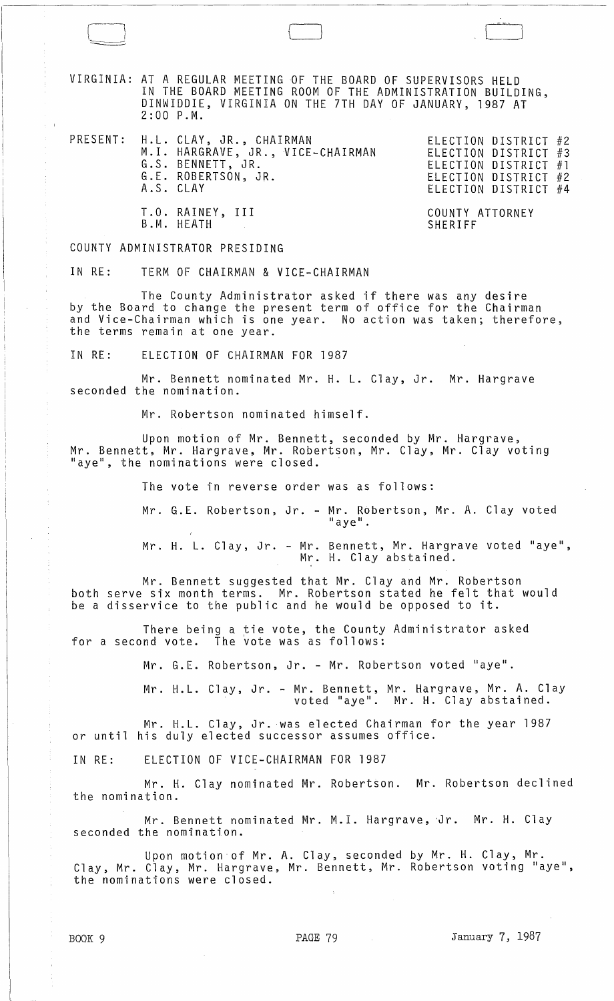VIRGINIA: AT A REGULAR MEETING OF THE BOARD OF SUPERVISORS HELD IN THE BOARD MEETING ROOM OF THE ADMINISTRATION BUILDING, DINWIDDIE, VIRGINIA ON THE 7TH DAY OF JANUARY, 1987 AT 2:00 P.M.

, and the contract of  $\Box$ 

PRESENT: H.L. CLAY, JR., CHAIRMAN ELECTION DISTRICT #2 M.I. HARGRAVE, JR., VICE-CHAIRMAN G.S. BENNETT, JR. G.E. ROBERTSON, JR. A.S. CLAY

ELECTION DISTRICT #3 ELECTION DISTRICT #1 ELECTION DISTRICT #2 ELECTION DISTRICT #4

COUNTY ATTORNEY SHERIFF

COUNTY ADMINISTRATOR PRESIDING

B.M. HEATH

T.O. RAINEY, III

 $\begin{array}{c} \hline \end{array}$ 

 $\overline{\phantom{0}}$ 

IN RE: TERM OF CHAIRMAN & VICE-CHAIRMAN

The County Administrator asked if there was any desire by the Board to change the present term of office for the Chairman and Vice-Chairman which is one year. No action was taken; therefore, the terms remain at one year.

IN RE: ELECTION OF CHAIRMAN FOR 1987

Mr. Bennett nominated Mr. H. L. Clay, Jr. Mr. Hargrave seconded the nomination.

Mr. Robertson nominated himself.

Upon motion of Mr. Bennett, seconded by Mr. Hargrave, Mr. Bennett, Mr. Hargrave, Mr. Robertson, Mr. Clay, Mr. Clay voting "aye", the nominations were closed.

The vote in reverse order was as follows:

Mr. G. E. Robertson, Jr. - Mr. Robertson, Mr. A. Clay *voted*  "aye".

Mr. H. L. Clay, Jr. - Mr. Bennett, Mr. Hargrave voted "aye", Mr. H. Clay abstained.

Mr. Bennett suggested that Mr. Clay and Mr. Robertson both serve six month terms. Mr. Robertson stated he felt that would be a disservice to the public and he would be opposed to it.

There being a tie vote, the County Administrator asked for a second vote. The vote was as follows:

Mr. G.E. Robertson, Jr. - Mr. Robertson voted "aye".

Mr. H.L. Clay, Jr. - Mr. Bennett, Mr. Hargrave, Mr. A. Clay voted "aye". Mr. H. Clay abstained.

Mr. H.L. Clay, Jr. was elected Chairman for the year 1987 or until his duly elected successor assumes office.

IN RE: ELECTION OF VICE-CHAIRMAN FOR 1987

Mr. H. Clay nominated Mr. Robertson. Mr. Robertson declined the nomination.

Mr. Bennett nominated Mr. M.I. Hargrave, Jr. Mr. H. Clay seconded the nomination.

Upon motion of Mr. A. Clay, seconded by Mr. H. Clay, Mr. Clay, Mr. Clay, Mr. Hargrave, Mr. Bennett, Mr. Robertson voting "aye", the nominations were closed.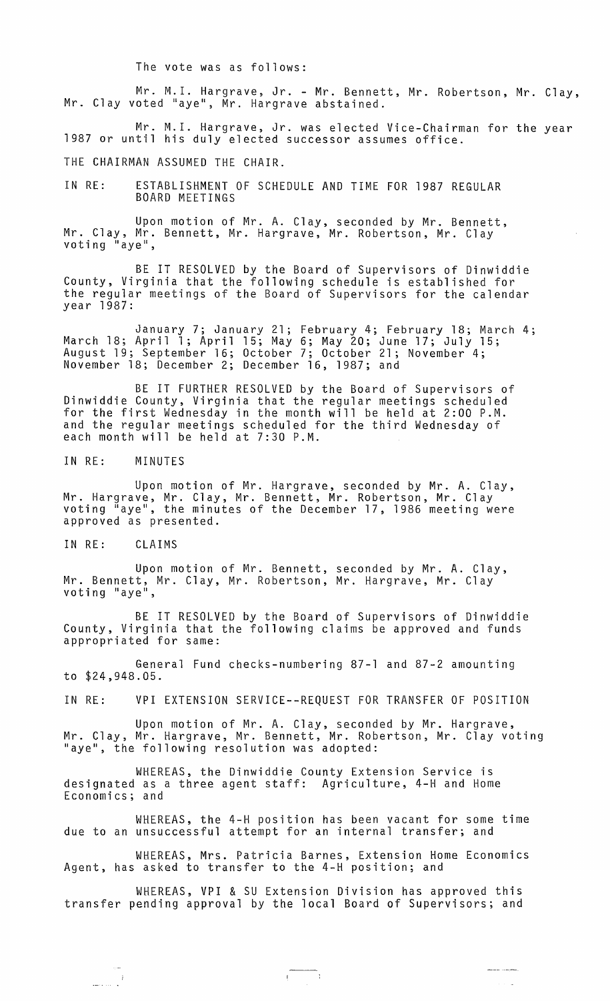The vote was as follows:

Mr. M.l. Hargrave, Jr. - Mr. Bennett, Mr. Robertson, Mr. Clay, Mr. Clay voted "aye", Mr. Hargrave abstained.

Mr. M.I. Hargrave, Jr. was elected Vice-Chairman for the year 1987 or until his duly elected successor assumes office.

THE CHAIRMAN ASSUMED THE CHAIR.

IN RE: ESTABLISHMENT OF SCHEDULE AND TIME FOR 1987 REGULAR BOARD MEETINGS

Upon motion of Mr. A. Clay, seconded by Mr. Bennett, Mr. Clay, Mr. Bennett, Mr. Hargrave, Mr. Robertson, Mr. Clay<br>voting "aye",

BE IT RESOLVED by the Board of Supervisors of Dinwiddie County, Virginia that the following schedule is established for the regular meetings of the Board of Supervisors for the calendar year 1987:

January 7; January 21; February 4; February 18; March 4; March 18; April 1; April 15; May 6; May 20; June 17; July 15; August 19; September 16; October 7; October 21; November 4; November 18; December 2; December 16, 1987; and

BE IT FURTHER RESOLVED by the Board of Supervisors of Dinwiddie County, Virginia that the regular meetings scheduled for the first Wednesday in the month will be held at 2:00 P.M. and the regular meetings scheduled for the third Wednesday of each month will be held at 7:30 P.M.

IN RE: MINUTES

Upon motion of Mr. Hargrave, seconded by Mr. A. Clay, Mr. Hargrave, Mr. Clay, Mr. Bennett, Mr. Robertson, Mr. Clay voting "aye", the minutes of the December 17,1986 meeting were approved as presented.

IN RE: CLAIMS

 $\frac{1}{2}$ 

Upon motion of Mr. Bennett, seconded by Mr. A. Clay, Mr. Bennett, Mr. Clay, Mr. Robertson, Mr. Hargrave, Mr. Clay`<br>voting "aye",

BE IT RESOLVED by the Board of Supervisors of Dinwiddie County, Virginia that the following claims be approved and funds appropriated for same:

General Fund checks-numbering 87-1 and 87-2 amounting to \$24,948.05.

IN RE: VPI EXTENSION SERVICE--REQUEST FOR TRANSFER OF POSITION

Upon motion of Mr. A. Clay, seconded by Mr. Hargrave, Mr. Clay, Mr. Hargrave, Mr. Bennett, Mr. Robertson, Mr. Clay voting "aye", the following resolution was adopted:

WHEREAS, the Dinwiddie County Extension Service is designated as a three agent staff: Agriculture, 4-H and Home Economics; and

WHEREAS, the 4-H position has been vacant for some time due to an unsuccessful attempt for an internal transfer; and

WHEREAS, Mrs. Patricia Barnes, Extension Home Economics Agent, has asked to transfer to the 4-H position; and

WHEREAS, VPI & SU Extension Division has approved this transfer pending approval by the local Board of Supervisors; and

 $\begin{aligned} \mathcal{L}_{\text{max}}(\mathcal{L}_{\text{max}}, \mathcal{L}_{\text{max}}) = \mathcal{L}_{\text{max}}(\mathcal{L}_{\text{max}}), \end{aligned}$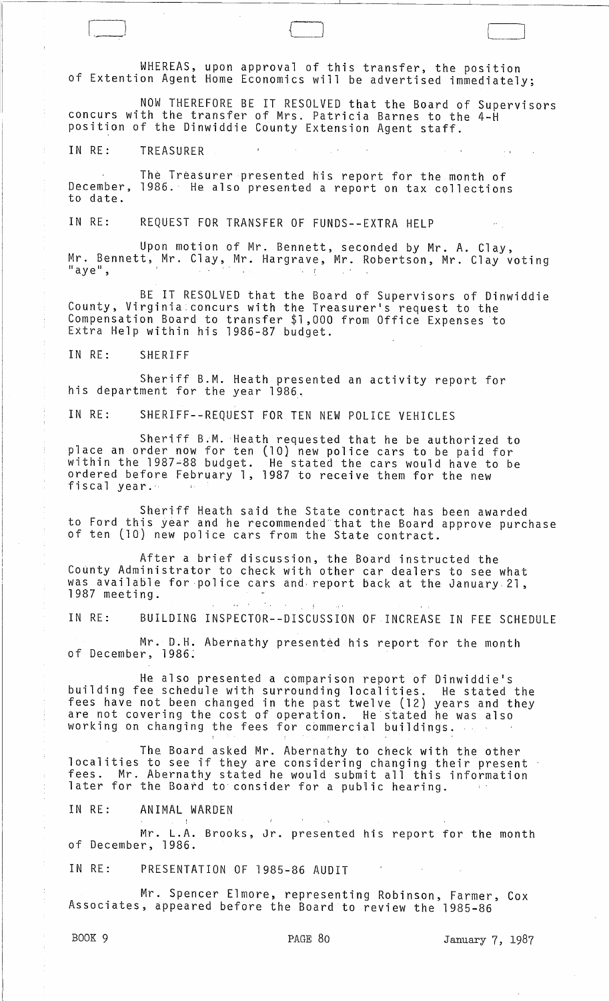WHEREAS, upon approval of this transfer, the position of Extention Agent Home Economics will be advertised immediately;

NOW THEREFORE BE IT RESOLVED that the Board of Supervisors concurs with the transfer of Mrs. Patricia Barnes to the 4-H position of the Dinwiddie County Extension Agent staff.

IN RE: TREASURER  $\sim 10^{-1}$ 

The Treasurer presented his report for the month of December, 1986. He also presented a report on tax collections to date.

IN RE: REQUEST FOR TRANSFER OF FUNDS--EXTRA HELP

Upon motion of Mr. Bennett, seconded by Mr. A. Clay, Mr. Bennett, Mr. Clay, Mr. Hargrave, Mr. Robertson, Mr. Clay voting  $"$ aye",  $\sim$  1

BE IT RESOLVED that the Board of Supervisors of Dinwiddie County, Virginia concurs with the Treasurer's request to the Compensation Board to transfer \$1,000 from Office Expenses to Extra Help within his 1986-87 budget.

IN RE: SHERIFF

Sheriff B.M. Heath presented an activity report for his department for the year 1986,

IN RE: SHERIFF--REQUEST FOR TEN NEW POLICE VEHICLES

Sheriff B.M. Heath requested that he be authorized to place an order now for ten (10) new police cars to be paid for within the 1987~88 budget. He stated the cars would have to be ordered before February 1, 1987 to receive them for the new fiscal year.'

Sheriff Heath said the State contract has been awarded to Ford this year and he recommended that the Board approve purchase<br>of ten (10) new police cars from the State contract.

After a brief discussion, the Board instructed the County Administrator to check with other car dealers to see what was available for police cars and, report back at the January. 21, 1987 meeting.

 $\lambda_{\rm{max}}=1$ 

IN RE: BUILDING INSPECTOR--DISCUSSION OF INCREASE IN FEE SCHEDULE

Mr. D.H. Abernathy presented his report for the month of December, 1986;

He also presented a comparison report of Dinwiddie's building fee schedule with surrounding localities. He stated the fees have not been changed in the past twelve (12) years and they are not covering the cost of operation. He stated he was also working on changing the fees for cbmmercial buildings.

The Board asked Mr. Abernathy to check with the other localities to see if they are considering changing their present fees. Mr. Abernathy stated he would submit all this information later for the Board to consider for a PUb1ic hearing.

IN RE: ANIMAL WARDEN

Mr. L.A. Brooks, Jr. presented his report for the month of December, 1986.

IN RE: PRESENTATION OF 1985-86 AUDIT

Mr. Spencer Elmore, representing Robinson, Farmer, Cox Associates, appeared before the Board to review the 1985-86

BOOK 9 **PAGE 80** PAGE 80 January 7, 1987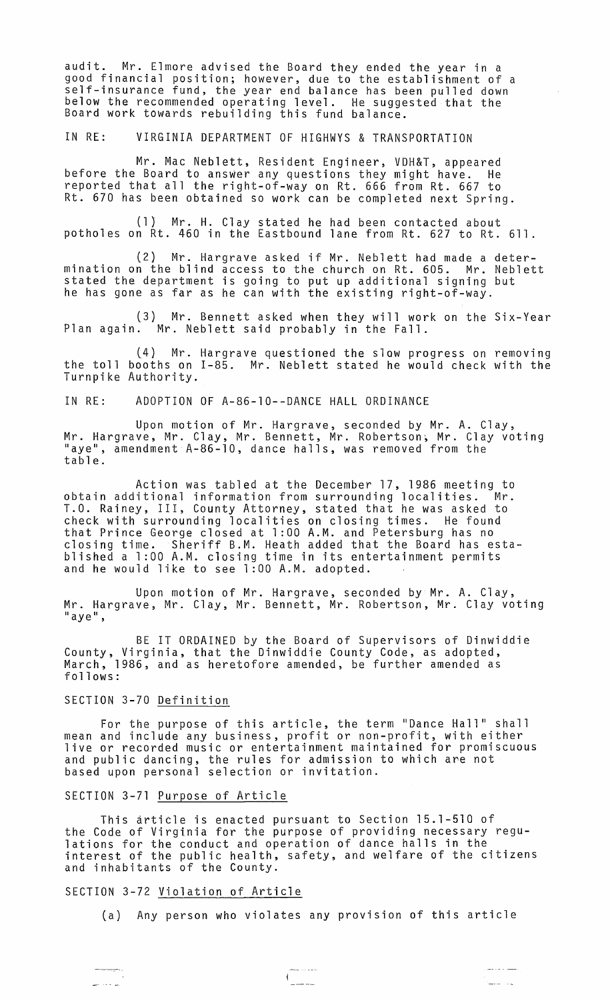audit. Mr. Elmore advised the Board they ended the year in a good financial position; however, due to the establishment of a self-insurance fund, the year end balance has been pulled down below the recommended operating level. He suggested that the Board work towards rebuilding this fund balance.

IN RE: VIRGINIA DEPARTMENT OF HIGHWYS & TRANSPORTATION

Mr. Mac Neblett, Resident Engineer, VDH&T, appeared before the Board to ansWer any questions they might have. He reported that all the right-of-way on Rt. 666 from Rt. 667 to Rt. 670 has been obtained so work can be completed next Spring.

(1) Mr. H. Clay stated he had been contacted about potholes on Rt. 460 in the Eastbound lane from Rt. 627 to Rt. 611.

(2) Mr. Hargrave asked if Mr. Neblett had made a determination on the blind access to the church on Rt. 605. Mr. Neblett stated the department is going to put up additional signing but he has gone as far as he can with the existing right-of-way.

(3) Mr. Bennett asked when they will work on the Six-Year Plan again. Mr. Neblett said probably in the Fall.

(4) Mr. Hargrave questioned the slow progress on removing the toll booths on 1-85. Mr. Neblett stated he would check with the Turnpike Authority.

IN RE: ADOPTION OF A-86-10--DANCE HALL ORDINANCE

Upon motion of Mr. Hargrave, seconded by Mr. A. Clay, Mr. Hargrave, Mr. Clay, Mr. Bennett, Mr. Robertson~ Mr. Clay voting "aye", amendment A-86-10, dance halls, was removed from the table.

Action was tabled at the December 17, 1986 meeting to obtain additional information from surrounding localities. Mr. T.O. Rainey, III, County Attorney, stated that he was asked to check with surrounding localities on closing times. He found that Prince George closed at 1 :00 A.M. and Petersburg has no closing time. Sheriff B.M. Heath added that the Board has established a 1 :00 A.M. closing time in its entertainment permits and he would like to see 1:00 A.M. adopted.

Upon motion of Mr. Hargrave, seconded by Mr. A. Clay, Mr. Hargrave, Mr. Clay, Mr. Bennett, Mr. Robertson, Mr. Clay voting "aye",

BE IT ORDAINED by the Board of Supervisors of Dinwiddie County, Virginia, that the Dinwiddie County Code, as adopted, March, 1986, and as heretofore amended, be further amended as follows:

## SECTION 3-70 Definition

For the purpose of this article, the term "Dance Hall" shall mean and include any business, profit or non-profit, with either live or recorded music or entertainment maintained for promiscuous and public dancing, the rules for admission to which are not based upon personal selection or invitation.

### SECTION 3-71 Purpose of Article

This article is enacted pursuant to Section 15.1-510 of the Code of Virginia for the purpose of providing necessary regulations for the conduct and operation of dance halls in the interest of the public health, safety, and welfare of the citizens and inhabitants of the County.

## SECTION 3-72 Violation of Article

(a) Any person who violates any provision of this article

للمتحدث سلملا

 $\frac{1}{1}$ 

يتسدد والمدامس

.<br>Gwelet ivez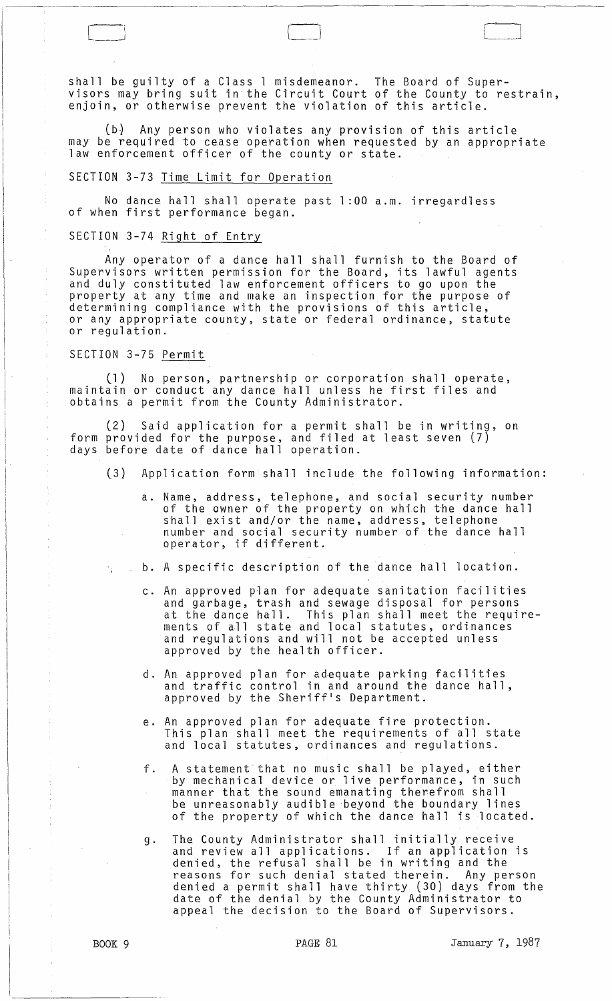shall be guilty of a Class 1 misdemeanor. The Board of Supervisors may bring suit in the Circuit Court of the County to restrain, enjoin, or otherwise prevent the violation of this article.

~----------"----~~~~-~----~~----~----

[1 <sup>j</sup>

(b) Any person who violates any provision of this article may be required to cease operation when requested by an appropriate law enforcement officer of the county or state.

# SECTION 3-73 Time Limit for Operation

No dance hall shall operate past 1 :00 a.m. irregardless of when first performance began.

# SECTION 3-74 Right of Entry

Any operator of a dance hall shall furnish to the Board of Supervisors written permission for the Board, its lawful agents and duly constituted law enforcement officers to go upon the property at any time and make an inspection for the purpose of determining compliance with the provisions of this article, or any appropriate county, state or federal ordinance, statute or regulation.

# SECTION 3-75 Permit

(1) No person, partnership or corporation shall operate, maintain or conduct any dance hall unless he first files and obtains a permit from the County Administrator.

(2) Said application for a permit shall be in writing, on form provided for the purpose, and filed at least seven (7) days before date of dance hall operation.

- (3) Application form shall include the following information:
	- a. Name, address, telephone, and social security number of the owner of the property on which the dance hall shall exist and/or the name, address, telephone number and social security number of the dance hall operator, if different.
- b. A specific description of the dance hall location.
	- c. An approved plan for adequate sanitation facilities and garbage, trash and sewage disposal for persons at the dance hall. This plan shall meet the requireas one dance narrie into pran onarremode one requ and regulations and will not be accepted unless and regarderons and nirrinseese.<br>approved by the health officer.
	- d. An approved plan for adequate parking facilities approved plan for adequace parking facilieres. approved by the Sheriff's Department.
	- e. An approved plan for adequate fire protection. This plan shall meet the requirements of all state and local statutes, ordinances and regulations.
	- f. A statement that no music shall be played, either by mechanical device or live performance, in such manner that the sound emanating therefrom shall be unreasonably audible beyond the boundary lines of the property of which the dance hall is located.
	- g. The County Administrator shall initially receive and review all applications. If an application is denied, the refusal shall be in writing and the reasons for such denial stated therein. Any person denied a permit shall have thirty (30) days from the date of the denial by the County Administrator to appeal the decision to the Board of Supervisors.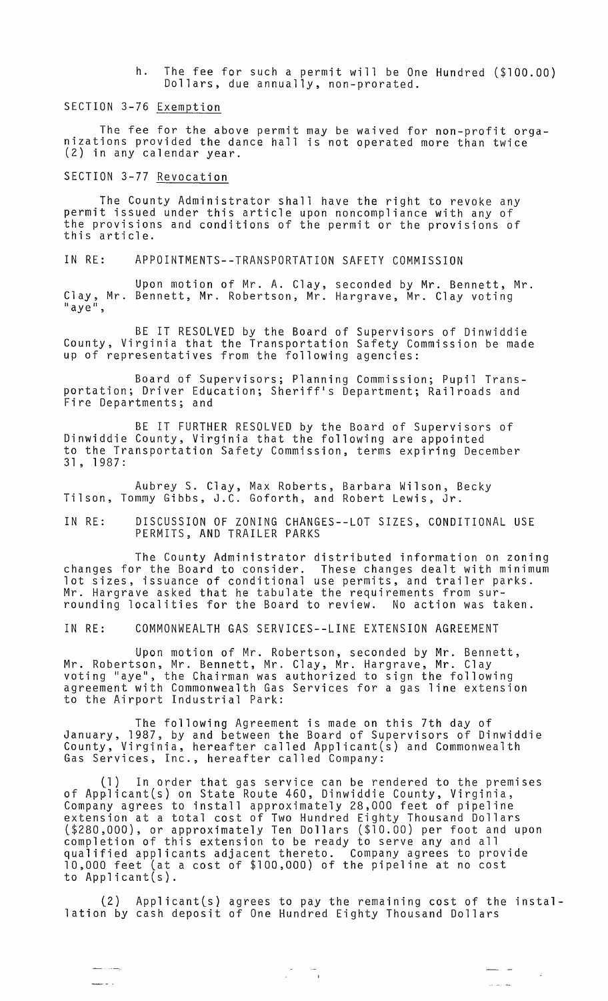h. The fee for such a permit will be One Hundred (\$100.00) Dollars, due annually, non-prorated.

SECTION 3-76 Exemption

The fee for the above permit may be waived for non-profit orga- nizations provided the dance hall is not operated more than twice (2) in any calendar year.

SECTION 3-77 Revocation

<u>.</u> . .

The County Administrator shall have the right to revoke any permit issued under this article upon noncompliance with any of the provisions and conditions of the permit or the provisions of this article.

IN RE: APPOINTMENTS--TRANSPORTATION SAFETY COMMISSION

Upon motion of Mr. A. Clay, seconded by Mr. Bennett, Mr. Clay, Mr. Bennett, Mr. Robertson, Mr. Hargrave, Mr. Clay voting<br>"aye",

BE IT RESOLVED by the Board of Supervisors of Dinwiddie County, Virginia that the Transportation Safety Commission be made up of representatives from the following agencies:

Board of Supervisors; Planning Commission; Pupil Transportation; Driver Education; Sheriff's Department; Railroads and Fire Departments; and

BE IT FURTHER RESOLVED by the Board of Supervisors of Dinwiddie County, Virginia that the following are appointed to the Transportation Safety Commission, terms expiring December 31, 1987:

Aubrey S. Clay, Max Roberts, Barbara Wilson, Becky Tilson, Tommy Gibbs, J.C. Goforth, and Robert Lewis, Jr.

IN RE: DISCUSSION OF ZONING CHANGES--LOT SIZES, CONDITIONAL USE PERMITS, AND TRAILER PARKS

The County Administrator distributed information on zoning changes for the Board to consider. These changes dealt with minimum lot sizes, issuance of conditional use permits, and trailer parks. Mr. Hargrave asked that he tabulate the requirements from surrounding localities for the Board to review. No action was taken.

IN RE: COMMONWEALTH GAS SERVICES--LINE EXTENSION AGREEMENT

Upon motion of Mr. Robertson, seconded by Mr. Bennett, Mr. Robertson, Mr. Bennett, Mr. Clay, Mr. Hargrave, Mr. Clay voting "aye", the Chairman was authorized to sign the following agreement with Commonwealth Gas Services for a gas line extension to the Airport Industrial Park:

The following Agreement is made on this 7th day of January, 1987, by and between the Board of Supervisors of Dinwiddie County, Virginia, hereafter called Applicant(s) and Commonwealth Gas Services, Inc., hereafter called Company:

(1) In order that gas service can be rendered to the premises of Applicant(s} on State Route 460, Dinwiddie County, Virginia, Company agrees to install approximately 28,000 feet of pipeline extension at a total cost of Two Hundred Eighty Thousand Dollars (\$280,000), or approximately Ten Dollars (\$10.00) per foot and upon completion of this extension to be ready to serve any and all qualified applicants adjacent thereto. Company agrees to provide 10,000 feet (at a cost of \$100,000) of the pipeline at no cost to Applicant(s}.

 $(2)$  Applicant $(s)$  agrees to pay the remaining cost of the installation by cash deposit of One Hundred Eighty Thousand Dollars

 $\label{eq:2} \frac{1}{\sqrt{2}}\frac{1}{\sqrt{2}}\left(\frac{1}{\sqrt{2}}\right)\frac{1}{\sqrt{2}}\frac{1}{\sqrt{2}}\left(\frac{1}{\sqrt{2}}\right)\frac{1}{\sqrt{2}}\,.$ 

المدار المستد

للمساء للمراجل

 $\sim 20$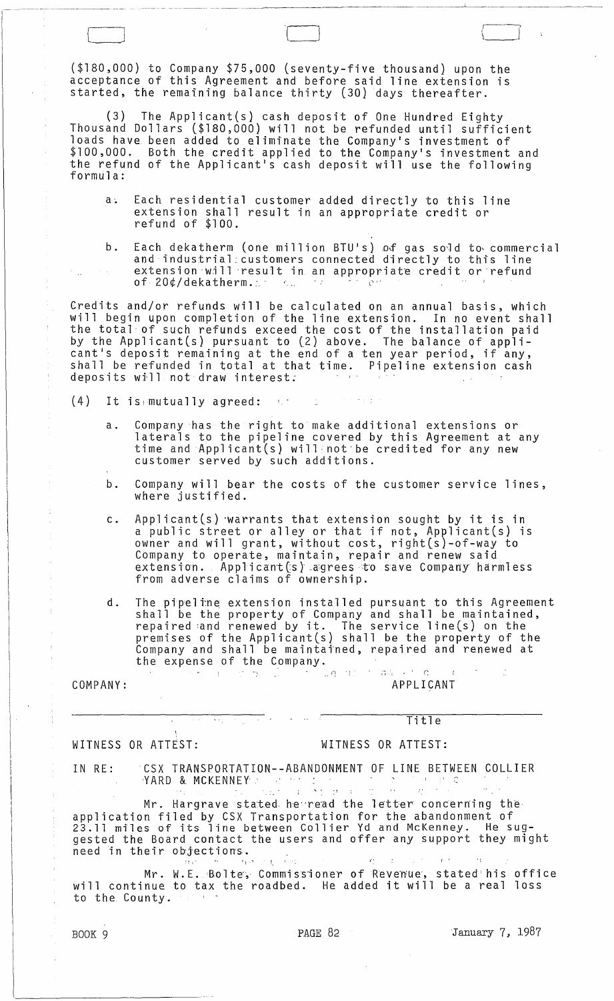(\$180,000) to Company \$75,000 (seventy-five thousand) upon the acceptance of this Agreement and before said line extension is started, the remaining balance thirty (30) days thereafter.

 $\Box$ 

(3) The Applicant(s) cash deposit of One Hundred Eighty Thousand Dollars (\$180,000) will not be refunded until sufficient loads have been added to eliminate the Company's investment of \$100,000. Both the credit applied to the Company's investment and the refund of the Applicant's cash deposit will use the following formula:

- a. Each residential customer added directly to this line extension shall result in an appropriate credit or refund of \$100.
- b. Each dekatherm (one million BTU's) of gas sold to commercial and industrial:customers connected directly to this line extension will result in an appropriate credit or refund<br>of 20¢/dekatherm. of  $20$ ¢/dekatherm. $\therefore$

Credits and/or refunds will be calculated on an annual basis, which will begin upon completion of the line extension. In no event shall the total of such refunds exceed the cost of the installation paid by the Applicant(s) pursuant to (2) above. The balance of applicant's deposit remaining at the end of a ten year period, if any, shall be refunded in total at that time. Pipeline extension cash deposits wfll not draw interest;

 $(4)$  It is mutually agreed:  $\mathbb{R}^+$ e se engages

- a. Company has the right to make additional extensions or laterals to the pipeline covered by this Agreement at any time and Applicant(s) will not be credited for any new customer served by such additions.
- b. Company will bear the costs of the customer service lines, where justified.
- c. Applicant(s} 'warrants that extension sought by it is in a public street or alley or that if not, Applicant(s) is owner and will grant, without cost, right(s}-of-way to Company to operate, maintain, repair and renew said extension. Applicant(s) agrees to save Company harmless from adverse claims of ownership.
- d. The pipeline extension installed pursuant to this Agreement<br>shall be the property of Company and shall be maintained, repaired :and renewed by it. The service line(s) on the premises of the Applicant(s) shall be the property of the Company and shall be maintained, repaired and renewed at the expense of the Company.

,  $\frac{1}{\sqrt{2}}$  ,  $\frac{1}{\sqrt{2}}$  ,  $\frac{1}{\sqrt{2}}$  ,  $\frac{1}{\sqrt{2}}$  ,  $\frac{1}{\sqrt{2}}$  ,  $\frac{1}{\sqrt{2}}$  ,  $\frac{1}{\sqrt{2}}$  ,  $\frac{1}{\sqrt{2}}$  ,  $\frac{1}{\sqrt{2}}$  ,  $\frac{1}{\sqrt{2}}$  ,  $\frac{1}{\sqrt{2}}$  ,  $\frac{1}{\sqrt{2}}$  ,  $\frac{1}{\sqrt{2}}$  ,  $\frac{1}{\sqrt{2}}$  ,  $\frac{1}{\sqrt{$ COMPANY: APPLICANT

ίú,

 $\gamma$  r  $\gamma$  .

# WITNESS OR ATTEST: WITNESS OR ATTEST:

Title

IN RE: CSX TRANSPORTATION--ABANDONMENT OF LINE BETWEEN COLLIER CSX TRANSPORTATION--ABANDONMENT OF LINE BETWE<br>YARD & MCKENNEY

March & MCKENNEY<br>Mr. Hargrave stated he read the letter concerning the application filed by CSX Transportation for the abandonment of appireation rired by OSA framsportation for the abandomment of<br>23.11 miles of its line between Collier Yd and McKenney. He sug-<br>gested the Board contact the users and offer any support they might gested the Board contact the users and offer any support they might<br>need in their objections.  $\sim$   $\epsilon$   $\sim$   $\sim$   $\sim$ 

Mr. W.E. Bolte, Commissioner of Revenue, stated his office will continue to tax the roadbed. He added it will be a real loss<br>to the County. And roadbed. He added it will be a real loss<br>to the County.